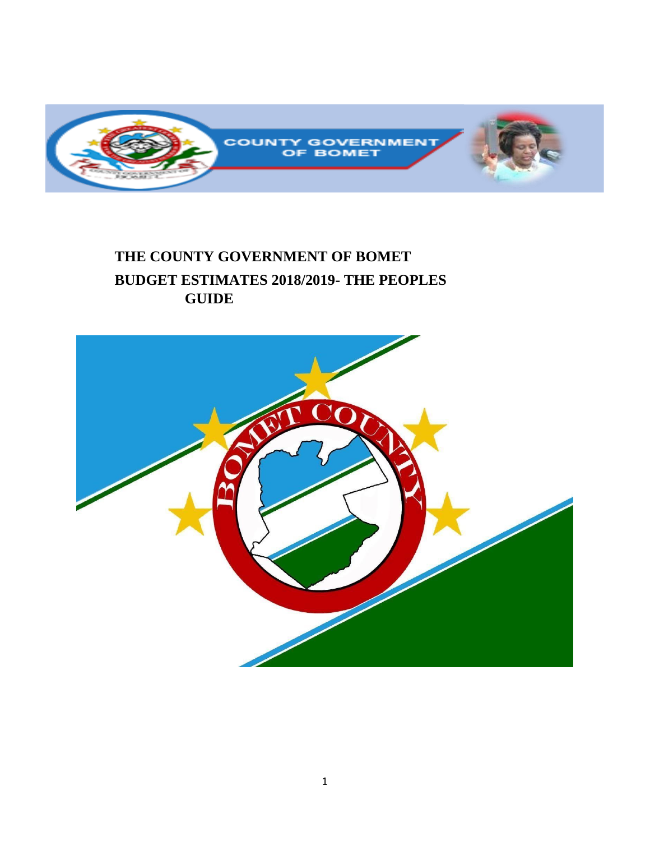

# **THE COUNTY GOVERNMENT OF BOMET BUDGET ESTIMATES 2018/2019- THE PEOPLES GUIDE**

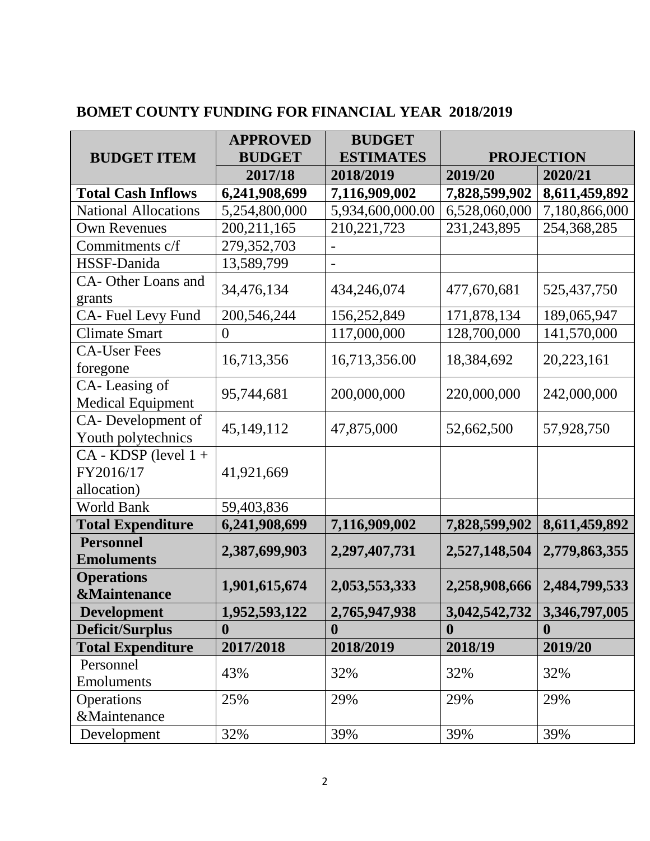## **BOMET COUNTY FUNDING FOR FINANCIAL YEAR 2018/2019**

|                                              | <b>APPROVED</b>  | <b>BUDGET</b>    |                   |               |
|----------------------------------------------|------------------|------------------|-------------------|---------------|
| <b>BUDGET ITEM</b>                           | <b>BUDGET</b>    | <b>ESTIMATES</b> | <b>PROJECTION</b> |               |
|                                              | 2017/18          | 2018/2019        | 2019/20           | 2020/21       |
| <b>Total Cash Inflows</b>                    | 6,241,908,699    | 7,116,909,002    | 7,828,599,902     | 8,611,459,892 |
| <b>National Allocations</b>                  | 5,254,800,000    | 5,934,600,000.00 | 6,528,060,000     | 7,180,866,000 |
| <b>Own Revenues</b>                          | 200, 211, 165    | 210, 221, 723    | 231, 243, 895     | 254,368,285   |
| Commitments c/f                              | 279, 352, 703    |                  |                   |               |
| HSSF-Danida                                  | 13,589,799       |                  |                   |               |
| CA-Other Loans and<br>grants                 | 34,476,134       | 434,246,074      | 477,670,681       | 525, 437, 750 |
| CA-Fuel Levy Fund                            | 200,546,244      | 156,252,849      | 171,878,134       | 189,065,947   |
| <b>Climate Smart</b>                         | $\theta$         | 117,000,000      | 128,700,000       | 141,570,000   |
| <b>CA-User Fees</b><br>foregone              | 16,713,356       | 16,713,356.00    | 18,384,692        | 20,223,161    |
| CA-Leasing of<br><b>Medical Equipment</b>    | 95,744,681       | 200,000,000      | 220,000,000       | 242,000,000   |
| CA-Development of<br>Youth polytechnics      | 45,149,112       | 47,875,000       | 52,662,500        | 57,928,750    |
| $CA - KDSP$ (level $1 +$                     |                  |                  |                   |               |
| FY2016/17<br>allocation)                     | 41,921,669       |                  |                   |               |
| World Bank                                   | 59,403,836       |                  |                   |               |
| <b>Total Expenditure</b>                     | 6,241,908,699    | 7,116,909,002    | 7,828,599,902     | 8,611,459,892 |
| <b>Personnel</b><br><b>Emoluments</b>        | 2,387,699,903    | 2,297,407,731    | 2,527,148,504     | 2,779,863,355 |
| <b>Operations</b><br><b>&amp;Maintenance</b> | 1,901,615,674    | 2,053,553,333    | 2,258,908,666     | 2,484,799,533 |
| <b>Development</b>                           | 1,952,593,122    | 2,765,947,938    | 3,042,542,732     | 3,346,797,005 |
| <b>Deficit/Surplus</b>                       | $\boldsymbol{0}$ | $\bf{0}$         | $\boldsymbol{0}$  | $\bf{0}$      |
| <b>Total Expenditure</b>                     | 2017/2018        | 2018/2019        | 2018/19           | 2019/20       |
| Personnel<br>Emoluments                      | 43%              | 32%              | 32%               | 32%           |
| Operations                                   | 25%              | 29%              | 29%               | 29%           |
| <b>&amp;Maintenance</b>                      |                  |                  |                   |               |
| Development                                  | 32%              | 39%              | 39%               | 39%           |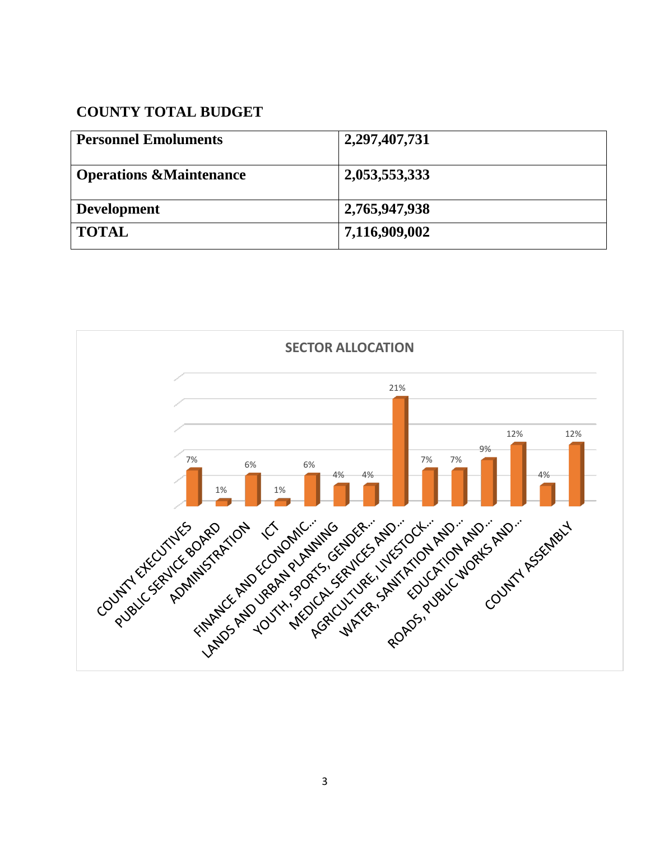#### **COUNTY TOTAL BUDGET**

| <b>Personnel Emoluments</b>        | 2,297,407,731 |  |
|------------------------------------|---------------|--|
| <b>Operations &amp;Maintenance</b> | 2,053,553,333 |  |
| <b>Development</b>                 | 2,765,947,938 |  |
| <b>TOTAL</b>                       | 7,116,909,002 |  |

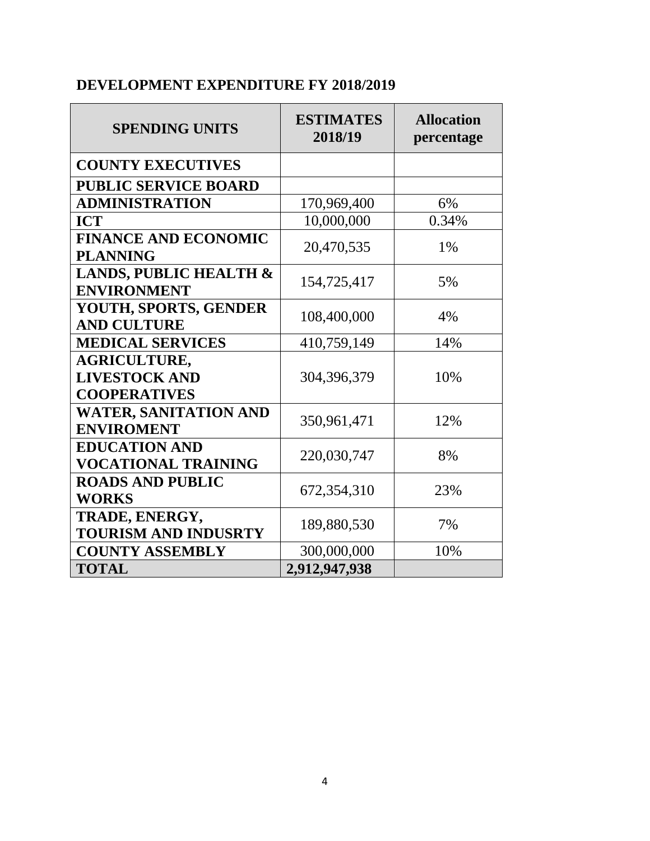### **DEVELOPMENT EXPENDITURE FY 2018/2019**

| <b>SPENDING UNITS</b>                                              | <b>ESTIMATES</b><br>2018/19 | <b>Allocation</b><br>percentage |
|--------------------------------------------------------------------|-----------------------------|---------------------------------|
| <b>COUNTY EXECUTIVES</b>                                           |                             |                                 |
| <b>PUBLIC SERVICE BOARD</b>                                        |                             |                                 |
| <b>ADMINISTRATION</b>                                              | 170,969,400                 | 6%                              |
| <b>ICT</b>                                                         | 10,000,000                  | 0.34%                           |
| <b>FINANCE AND ECONOMIC</b><br><b>PLANNING</b>                     | 20,470,535                  | 1%                              |
| <b>LANDS, PUBLIC HEALTH &amp;</b><br><b>ENVIRONMENT</b>            | 154,725,417                 | 5%                              |
| YOUTH, SPORTS, GENDER<br><b>AND CULTURE</b>                        | 108,400,000                 | 4%                              |
| <b>MEDICAL SERVICES</b>                                            | 410,759,149                 | 14%                             |
| <b>AGRICULTURE,</b><br><b>LIVESTOCK AND</b><br><b>COOPERATIVES</b> | 304,396,379                 | 10%                             |
| <b>WATER, SANITATION AND</b><br><b>ENVIROMENT</b>                  | 350,961,471                 | 12%                             |
| <b>EDUCATION AND</b><br><b>VOCATIONAL TRAINING</b>                 | 220,030,747                 | 8%                              |
| <b>ROADS AND PUBLIC</b><br><b>WORKS</b>                            | 672, 354, 310               | 23%                             |
| TRADE, ENERGY,<br><b>TOURISM AND INDUSRTY</b>                      | 189,880,530                 | 7%                              |
| <b>COUNTY ASSEMBLY</b>                                             | 300,000,000                 | 10%                             |
| <b>TOTAL</b>                                                       | 2,912,947,938               |                                 |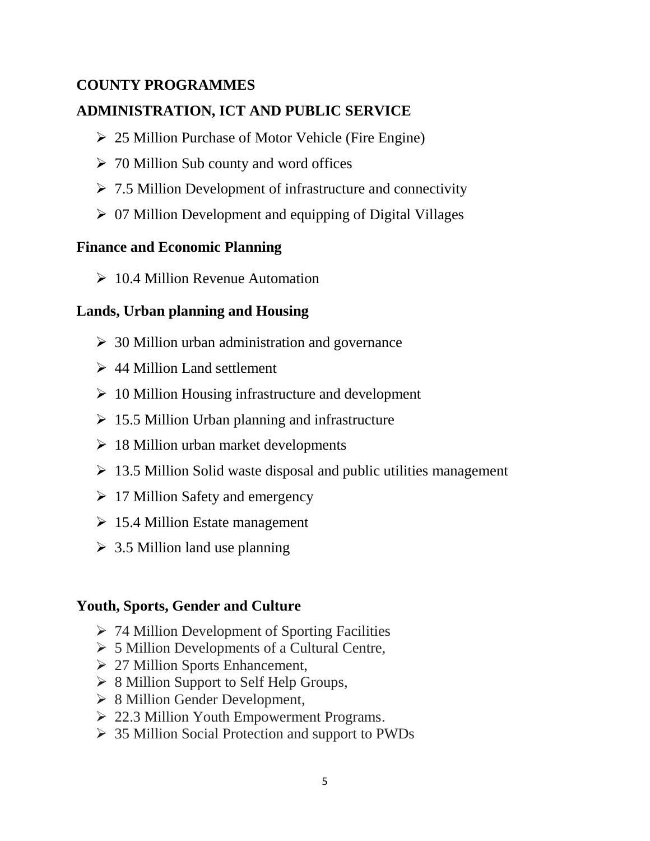#### **COUNTY PROGRAMMES**

#### **ADMINISTRATION, ICT AND PUBLIC SERVICE**

- $\geq$  25 Million Purchase of Motor Vehicle (Fire Engine)
- $\geq 70$  Million Sub county and word offices
- $\geq 7.5$  Million Development of infrastructure and connectivity
- $\geq 07$  Million Development and equipping of Digital Villages

#### **Finance and Economic Planning**

 $\geq 10.4$  Million Revenue Automation

#### **Lands, Urban planning and Housing**

- $\geq$  30 Million urban administration and governance
- $\geq 44$  Million Land settlement
- $\geq 10$  Million Housing infrastructure and development
- $\geq 15.5$  Million Urban planning and infrastructure
- $\geq 18$  Million urban market developments
- $\geq 13.5$  Million Solid waste disposal and public utilities management
- $\geq 17$  Million Safety and emergency
- $\geq 15.4$  Million Estate management
- $\geq$  3.5 Million land use planning

#### **Youth, Sports, Gender and Culture**

- $\geq 74$  Million Development of Sporting Facilities
- $\triangleright$  5 Million Developments of a Cultural Centre,
- $\geq$  27 Million Sports Enhancement,
- 8 Million Support to Self Help Groups,
- 8 Million Gender Development,
- 22.3 Million Youth Empowerment Programs.
- 35 Million Social Protection and support to PWDs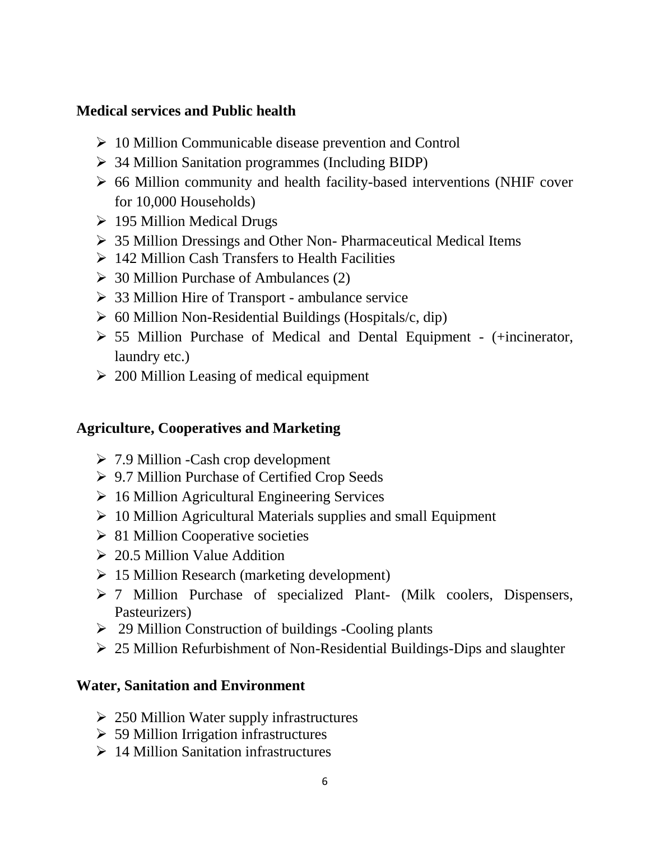#### **Medical services and Public health**

- $\geq 10$  Million Communicable disease prevention and Control
- 34 Million Sanitation programmes (Including BIDP)
- 66 Million community and health facility-based interventions (NHIF cover for 10,000 Households)
- $\geq 195$  Million Medical Drugs
- 35 Million Dressings and Other Non- Pharmaceutical Medical Items
- $\geq 142$  Million Cash Transfers to Health Facilities
- $\geq 30$  Million Purchase of Ambulances (2)
- 33 Million Hire of Transport ambulance service
- $\geq 60$  Million Non-Residential Buildings (Hospitals/c, dip)
- $>$  55 Million Purchase of Medical and Dental Equipment (+incinerator, laundry etc.)
- $\geq 200$  Million Leasing of medical equipment

### **Agriculture, Cooperatives and Marketing**

- $\geq 7.9$  Million -Cash crop development
- 9.7 Million Purchase of Certified Crop Seeds
- $\geq 16$  Million Agricultural Engineering Services
- $\geq 10$  Million Agricultural Materials supplies and small Equipment
- $\geq 81$  Million Cooperative societies
- $\geq 20.5$  Million Value Addition
- $\geq 15$  Million Research (marketing development)
- 7 Million Purchase of specialized Plant- (Milk coolers, Dispensers, Pasteurizers)
- $\geq$  29 Million Construction of buildings -Cooling plants
- 25 Million Refurbishment of Non-Residential Buildings-Dips and slaughter

## **Water, Sanitation and Environment**

- $\geq$  250 Million Water supply infrastructures
- $>$  59 Million Irrigation infrastructures
- $\geq 14$  Million Sanitation infrastructures